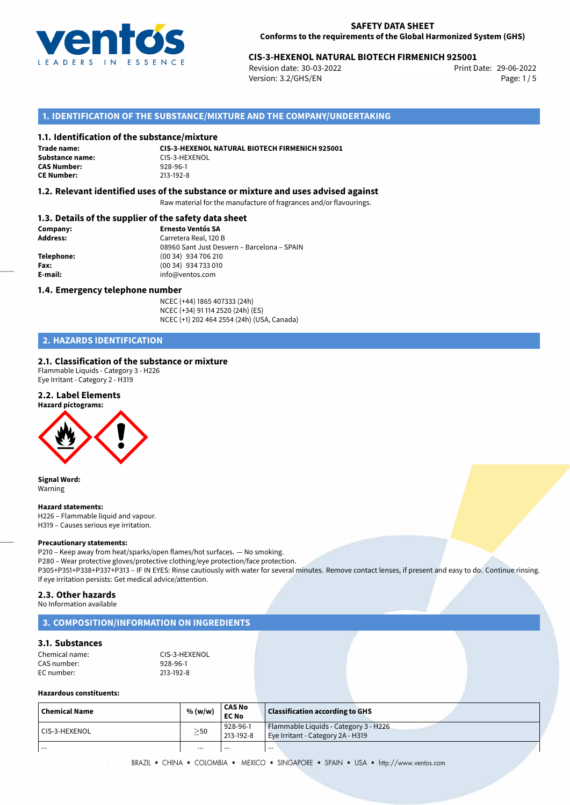

# 29-06-2022 **CIS-3-HEXENOL NATURAL BIOTECH FIRMENICH 925001**

Revision date: 30-03-2022 Version: 3.2/GHS/EN Page: 1/5

# **1. IDENTIFICATION OF THE SUBSTANCE/MIXTURE AND THE COMPANY/UNDERTAKING**

### **1.1. Identification of the substance/mixture**

**Trade name: Substance name:** CIS-3-HEXENOL<br> **CAS Number:** 928-96-1 **CAS Number: CE Number:** 213-192-8

**CIS-3-HEXENOL NATURAL BIOTECH FIRMENICH 925001**

### **1.2. Relevant identified uses of the substance or mixture and uses advised against**

Raw material for the manufacture of fragrances and/or flavourings.

### **1.3. Details of the supplier of the safety data sheet**

| Company:        | <b>Ernesto Ventós SA</b>                    |
|-----------------|---------------------------------------------|
| <b>Address:</b> | Carretera Real, 120 B                       |
|                 | 08960 Sant Just Desvern - Barcelona - SPAIN |
| Telephone:      | (00 34) 934 706 210                         |
| Fax:            | (00 34) 934 733 010                         |
| E-mail:         | info@ventos.com                             |
|                 |                                             |

### **1.4. Emergency telephone number**

NCEC (+44) 1865 407333 (24h) NCEC (+34) 91 114 2520 (24h) (ES) NCEC (+1) 202 464 2554 (24h) (USA, Canada)

# **2. HAZARDS IDENTIFICATION**

### **2.1. Classification of the substance or mixture**

Flammable Liquids - Category 3 - H226 Eye Irritant - Category 2 - H319

### **2.2. Label Elements**



**Signal Word:** Warning

### **Hazard statements:**

H226 – Flammable liquid and vapour. H319 – Causes serious eye irritation.

#### **Precautionary statements:**

P210 – Keep away from heat/sparks/open flames/hot surfaces. — No smoking. P280 – Wear protective gloves/protective clothing/eye protection/face protection. P305+P351+P338+P337+P313 – IF IN EYES: Rinse cautiously with water for several minutes. Remove contact lenses, if present and easy to do. Continue rinsing. If eye irritation persists: Get medical advice/attention.

### **2.3. Other hazards**

No Information available

### **3. COMPOSITION/INFORMATION ON INGREDIENTS**

### **3.1. Substances**

| Chemical name: | CIS-3-HEXENOL |
|----------------|---------------|
| CAS number:    | 928-96-1      |
| EC number: l   | 213-192-8     |

### **Hazardous constituents:**

| <b>Chemical Name</b> | % (w/w)   | <b>CAS No</b><br><b>EC No</b> | <b>Classification according to GHS</b>                                     |
|----------------------|-----------|-------------------------------|----------------------------------------------------------------------------|
| l CIS-3-HEXENOL      | $\geq$ 50 | 928-96-1<br>213-192-8         | Flammable Liquids - Category 3 - H226<br>Eye Irritant - Category 2A - H319 |
| .                    | $\cdots$  |                               |                                                                            |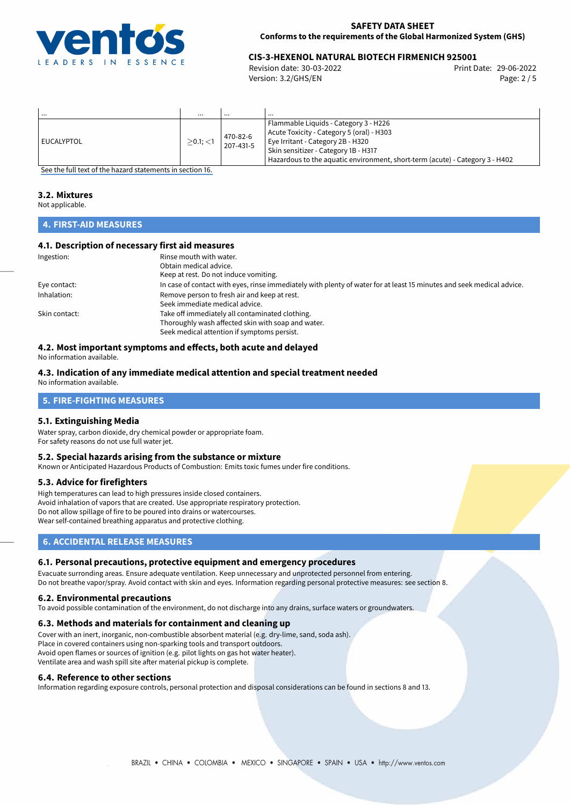

# 29-06-2022 **CIS-3-HEXENOL NATURAL BIOTECH FIRMENICH 925001**

Revision date: 30-03-2022 Version: 3.2/GHS/EN Page: 2 / 5

| .            | $\cdots$    | $\cdots$              | $\cdots$                                                                                                                                                                                                                                        |
|--------------|-------------|-----------------------|-------------------------------------------------------------------------------------------------------------------------------------------------------------------------------------------------------------------------------------------------|
| l EUCALYPTOL | $>0.1$ ; <1 | 470-82-6<br>207-431-5 | Flammable Liquids - Category 3 - H226<br>Acute Toxicity - Category 5 (oral) - H303<br>Eye Irritant - Category 2B - H320<br>Skin sensitizer - Category 1B - H317<br>Hazardous to the aquatic environment, short-term (acute) - Category 3 - H402 |

[See the full text of the hazard statements in section 16.](#page-4-0)

### **3.2. Mixtures**

Not applicable.

# **4. FIRST-AID MEASURES**

## **4.1. Description of necessary first aid measures**

| Ingestion:    | Rinse mouth with water.                                                                                               |  |  |
|---------------|-----------------------------------------------------------------------------------------------------------------------|--|--|
|               | Obtain medical advice.                                                                                                |  |  |
|               | Keep at rest. Do not induce vomiting.                                                                                 |  |  |
| Eye contact:  | In case of contact with eyes, rinse immediately with plenty of water for at least 15 minutes and seek medical advice. |  |  |
| Inhalation:   | Remove person to fresh air and keep at rest.                                                                          |  |  |
|               | Seek immediate medical advice.                                                                                        |  |  |
| Skin contact: | Take off immediately all contaminated clothing.                                                                       |  |  |
|               | Thoroughly wash affected skin with soap and water.                                                                    |  |  |
|               | Seek medical attention if symptoms persist.                                                                           |  |  |
|               |                                                                                                                       |  |  |

## **4.2. Most important symptoms and effects, both acute and delayed**

No information available.

#### **4.3. Indication of any immediate medical attention and special treatment needed** No information available.

# **5. FIRE-FIGHTING MEASURES**

### **5.1. Extinguishing Media**

Water spray, carbon dioxide, dry chemical powder or appropriate foam. For safety reasons do not use full water jet.

### **5.2. Special hazards arising from the substance or mixture**

Known or Anticipated Hazardous Products of Combustion: Emits toxic fumes under fire conditions.

### **5.3. Advice for firefighters**

High temperatures can lead to high pressures inside closed containers. Avoid inhalation of vapors that are created. Use appropriate respiratory protection. Do not allow spillage of fire to be poured into drains or watercourses. Wear self-contained breathing apparatus and protective clothing.

# **6. ACCIDENTAL RELEASE MEASURES**

### **6.1. Personal precautions, protective equipment and emergency procedures**

Evacuate surronding areas. Ensure adequate ventilation. Keep unnecessary and unprotected personnel from entering. Do not breathe vapor/spray. Avoid contact with skin and eyes. Information regarding personal protective measures: see section 8.

### **6.2. Environmental precautions**

To avoid possible contamination of the environment, do not discharge into any drains, surface waters or groundwaters.

### **6.3. Methods and materials for containment and cleaning up**

Cover with an inert, inorganic, non-combustible absorbent material (e.g. dry-lime, sand, soda ash). Place in covered containers using non-sparking tools and transport outdoors. Avoid open flames or sources of ignition (e.g. pilot lights on gas hot water heater). Ventilate area and wash spill site after material pickup is complete.

### **6.4. Reference to other sections**

Information regarding exposure controls, personal protection and disposal considerations can be found in sections 8 and 13.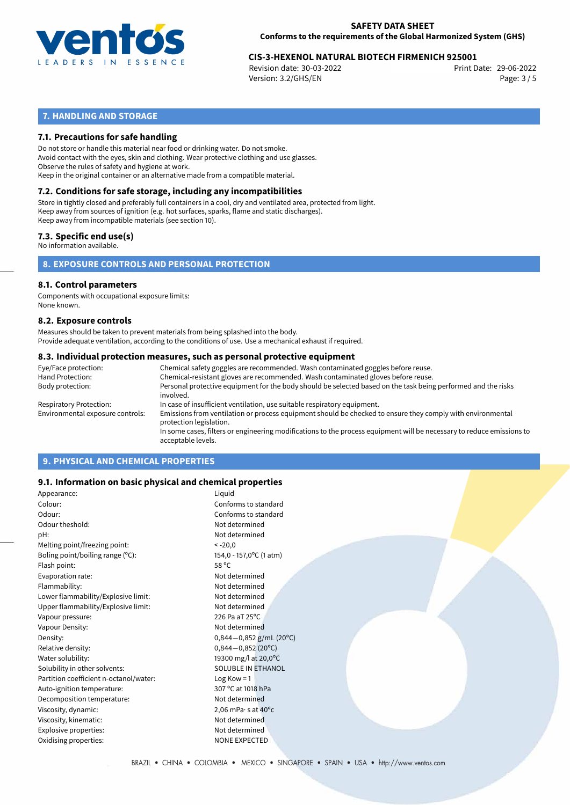

# 29-06-2022 **CIS-3-HEXENOL NATURAL BIOTECH FIRMENICH 925001**

Revision date: 30-03-2022 Version: 3.2/GHS/EN Page: 3 / 5

# **7. HANDLING AND STORAGE**

### **7.1. Precautions for safe handling**

Do not store or handle this material near food or drinking water. Do not smoke. Avoid contact with the eyes, skin and clothing. Wear protective clothing and use glasses. Observe the rules of safety and hygiene at work. Keep in the original container or an alternative made from a compatible material.

# **7.2. Conditions for safe storage, including any incompatibilities**

Store in tightly closed and preferably full containers in a cool, dry and ventilated area, protected from light. Keep away from sources of ignition (e.g. hot surfaces, sparks, flame and static discharges). Keep away from incompatible materials (see section 10).

## **7.3. Specific end use(s)**

No information available.

**8. EXPOSURE CONTROLS AND PERSONAL PROTECTION**

### **8.1. Control parameters**

Components with occupational exposure limits: None known.

### **8.2. Exposure controls**

Measures should be taken to prevent materials from being splashed into the body. Provide adequate ventilation, according to the conditions of use. Use a mechanical exhaust if required.

### **8.3. Individual protection measures, such as personal protective equipment**

| Eye/Face protection:             | Chemical safety goggles are recommended. Wash contaminated goggles before reuse.                                                            |  |  |  |
|----------------------------------|---------------------------------------------------------------------------------------------------------------------------------------------|--|--|--|
| Hand Protection:                 | Chemical-resistant gloves are recommended. Wash contaminated gloves before reuse.                                                           |  |  |  |
| Body protection:                 | Personal protective equipment for the body should be selected based on the task being performed and the risks<br>involved.                  |  |  |  |
| Respiratory Protection:          | In case of insufficient ventilation, use suitable respiratory equipment.                                                                    |  |  |  |
| Environmental exposure controls: | Emissions from ventilation or process equipment should be checked to ensure they comply with environmental<br>protection legislation.       |  |  |  |
|                                  | In some cases, filters or engineering modifications to the process equipment will be necessary to reduce emissions to<br>acceptable levels. |  |  |  |
|                                  |                                                                                                                                             |  |  |  |

# **9. PHYSICAL AND CHEMICAL PROPERTIES**

### **9.1. Information on basic physical and chemical properties**

| Appearance:                            | Liquid                               |
|----------------------------------------|--------------------------------------|
| Colour:                                | Conforms to standard                 |
| Odour:                                 | Conforms to standard                 |
| Odour theshold:                        | Not determined                       |
| pH:                                    | Not determined                       |
| Melting point/freezing point:          | $< -20,0$                            |
| Boling point/boiling range (°C):       | 154,0 - 157,0°C (1 atm)              |
| Flash point:                           | 58 °C                                |
| Evaporation rate:                      | Not determined                       |
| Flammability:                          | Not determined                       |
| Lower flammability/Explosive limit:    | Not determined                       |
| Upper flammability/Explosive limit:    | Not determined                       |
| Vapour pressure:                       | 226 Pa aT 25°C                       |
| Vapour Density:                        | Not determined                       |
| Density:                               | $0,844-0,852$ g/mL (20°C)            |
| Relative density:                      | $0,844 - 0,852$ (20°C)               |
| Water solubility:                      | 19300 mg/l at 20,0°C                 |
| Solubility in other solvents:          | SOLUBLE IN ETHANOL                   |
| Partition coefficient n-octanol/water: | Log Kow $=$ 1                        |
| Auto-ignition temperature:             | 307 °C at 1018 hPa                   |
| Decomposition temperature:             | Not determined                       |
| Viscosity, dynamic:                    | 2,06 mPa $\cdot$ s at 40 $\degree$ c |
| Viscosity, kinematic:                  | Not determined                       |
| Explosive properties:                  | Not determined                       |
| Oxidising properties:                  | <b>NONE EXPECTED</b>                 |
|                                        |                                      |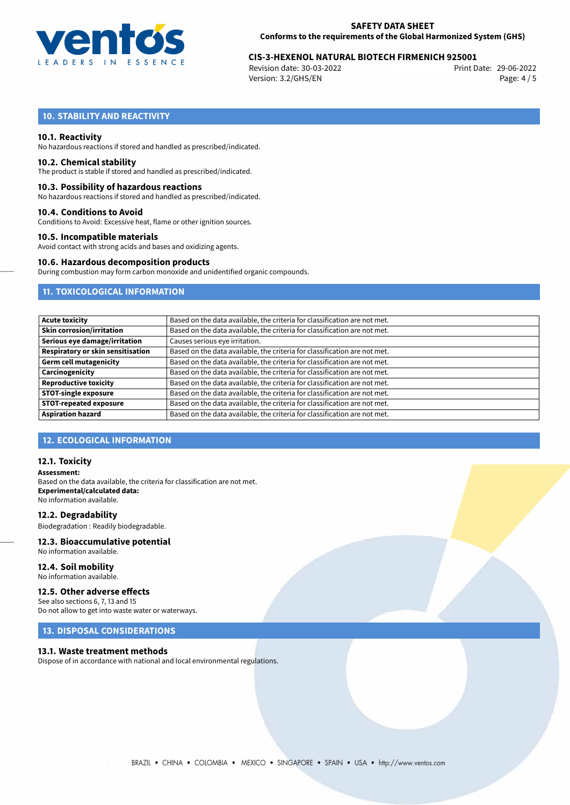

# 29-06-2022 **CIS-3-HEXENOL NATURAL BIOTECH FIRMENICH 925001**

Revision date: 30-03-2022 Version: 3.2/GHS/EN Page: 4 / 5

# **10. STABILITY AND REACTIVITY**

### **10.1. Reactivity**

No hazardous reactions if stored and handled as prescribed/indicated.

### **10.2. Chemical stability**

The product is stable if stored and handled as prescribed/indicated.

### **10.3. Possibility of hazardous reactions**

No hazardous reactions if stored and handled as prescribed/indicated.

### **10.4. Conditions to Avoid**

Conditions to Avoid: Excessive heat, flame or other ignition sources.

### **10.5. Incompatible materials**

Avoid contact with strong acids and bases and oxidizing agents.

### **10.6. Hazardous decomposition products**

During combustion may form carbon monoxide and unidentified organic compounds.

## **11. TOXICOLOGICAL INFORMATION**

| <b>Acute toxicity</b>                    | Based on the data available, the criteria for classification are not met. |
|------------------------------------------|---------------------------------------------------------------------------|
| <b>Skin corrosion/irritation</b>         | Based on the data available, the criteria for classification are not met. |
| Serious eye damage/irritation            | Causes serious eye irritation.                                            |
| <b>Respiratory or skin sensitisation</b> | Based on the data available, the criteria for classification are not met. |
| <b>Germ cell mutagenicity</b>            | Based on the data available, the criteria for classification are not met. |
| Carcinogenicity                          | Based on the data available, the criteria for classification are not met. |
| <b>Reproductive toxicity</b>             | Based on the data available, the criteria for classification are not met. |
| <b>STOT-single exposure</b>              |                                                                           |
| <b>STOT-repeated exposure</b>            | Based on the data available, the criteria for classification are not met. |
| <b>Aspiration hazard</b>                 | Based on the data available, the criteria for classification are not met. |
|                                          | Based on the data available, the criteria for classification are not met. |

### **12. ECOLOGICAL INFORMATION**

### **12.1. Toxicity**

**Assessment:** Based on the data available, the criteria for classification are not met. **Experimental/calculated data:** No information available.

**12.2. Degradability** Biodegradation : Readily biodegradable.

# **12.3. Bioaccumulative potential**

No information available.

**12.4. Soil mobility** No information available.

### **12.5. Other adverse effects**

See also sections 6, 7, 13 and 15 Do not allow to get into waste water or waterways.

### **13. DISPOSAL CONSIDERATIONS**

### **13.1. Waste treatment methods**

Dispose of in accordance with national and local environmental regulations.